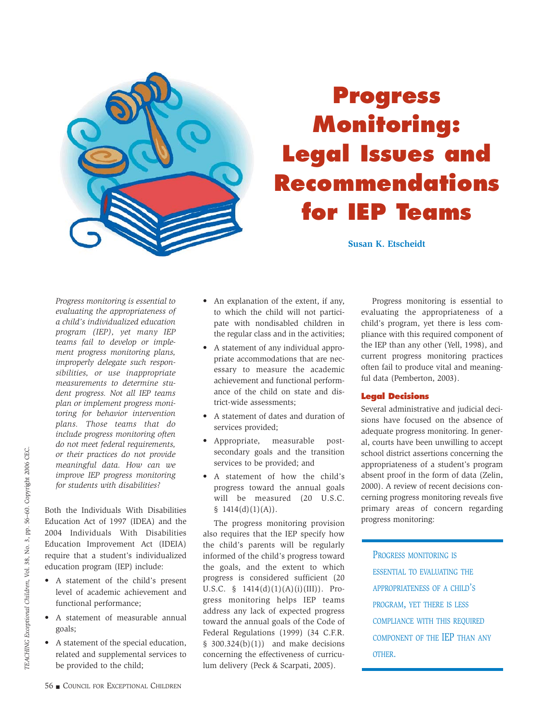

# **Progress Monitoring: Legal Issues and Recommendations for IEP Teams**

**Susan K. Etscheidt**

*Progress monitoring is essential to evaluating the appropriateness of a child's individualized education program (IEP), yet many IEP teams fail to develop or implement progress monitoring plans, improperly delegate such responsibilities, or use inappropriate measurements to determine student progress. Not all IEP teams plan or implement progress monitoring for behavior intervention plans. Those teams that do include progress monitoring often do not meet federal requirements, or their practices do not provide meaningful data. How can we improve IEP progress monitoring for students with disabilities?* 

Both the Individuals With Disabilities Education Act of 1997 (IDEA) and the 2004 Individuals With Disabilities Education Improvement Act (IDEIA) require that a student's individualized education program (IEP) include:

- A statement of the child's present level of academic achievement and functional performance;
- A statement of measurable annual goals;
- A statement of the special education, related and supplemental services to be provided to the child;
- An explanation of the extent, if any, to which the child will not participate with nondisabled children in the regular class and in the activities;
- A statement of any individual appropriate accommodations that are necessary to measure the academic achievement and functional performance of the child on state and district-wide assessments;
- A statement of dates and duration of services provided;
- Appropriate, measurable postsecondary goals and the transition services to be provided; and
- A statement of how the child's progress toward the annual goals will be measured (20 U.S.C.  $$1414(d)(1)(A)).$

The progress monitoring provision also requires that the IEP specify how the child's parents will be regularly informed of the child's progress toward the goals, and the extent to which progress is considered sufficient (20 U.S.C. § 1414 $(d)(1)(A)(i)(III)$ . Progress monitoring helps IEP teams address any lack of expected progress toward the annual goals of the Code of Federal Regulations (1999) (34 C.F.R. § 300.324(b)(1)) and make decisions concerning the effectiveness of curriculum delivery (Peck & Scarpati, 2005).

Progress monitoring is essential to evaluating the appropriateness of a child's program, yet there is less compliance with this required component of the IEP than any other (Yell, 1998), and current progress monitoring practices often fail to produce vital and meaningful data (Pemberton, 2003).

## **Legal Decisions**

Several administrative and judicial decisions have focused on the absence of adequate progress monitoring. In general, courts have been unwilling to accept school district assertions concerning the appropriateness of a student's program absent proof in the form of data (Zelin, 2000). A review of recent decisions concerning progress monitoring reveals five primary areas of concern regarding progress monitoring:

PROGRESS MONITORING IS ESSENTIAL TO EVALUATING THE APPROPRIATENESS OF A CHILD'S PROGRAM, YET THERE IS LESS COMPLIANCE WITH THIS REQUIRED COMPONENT OF THE IEP THAN ANY OTHER.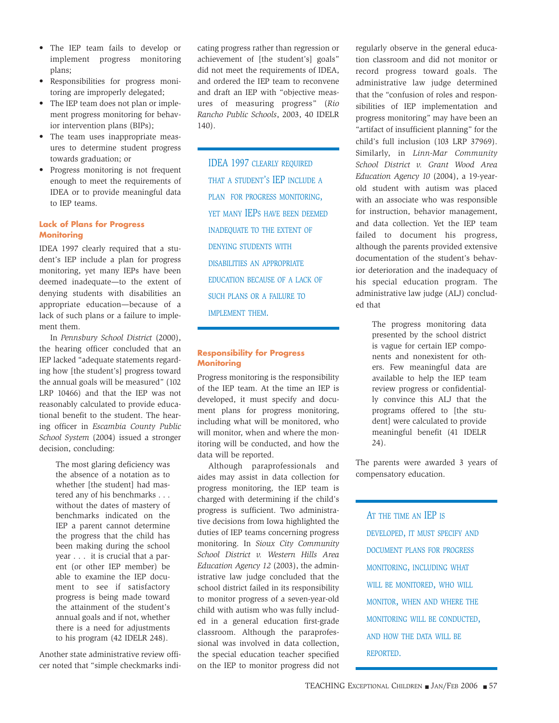- The IEP team fails to develop or implement progress monitoring plans;
- Responsibilities for progress monitoring are improperly delegated;
- The IEP team does not plan or implement progress monitoring for behavior intervention plans (BIPs);
- The team uses inappropriate measures to determine student progress towards graduation; or
- Progress monitoring is not frequent enough to meet the requirements of IDEA or to provide meaningful data to IEP teams.

## **Lack of Plans for Progress Monitoring**

IDEA 1997 clearly required that a student's IEP include a plan for progress monitoring, yet many IEPs have been deemed inadequate—to the extent of denying students with disabilities an appropriate education—because of a lack of such plans or a failure to implement them.

In *Pennsbury School District* (2000), the hearing officer concluded that an IEP lacked "adequate statements regarding how [the student's] progress toward the annual goals will be measured" (102 LRP 10466) and that the IEP was not reasonably calculated to provide educational benefit to the student. The hearing officer in *Escambia County Public School System* (2004) issued a stronger decision, concluding:

> The most glaring deficiency was the absence of a notation as to whether *[the student]* had mastered any of his benchmarks . . . without the dates of mastery of benchmarks indicated on the IEP a parent cannot determine the progress that the child has been making during the school year . . . it is crucial that a parent (or other IEP member) be able to examine the IEP document to see if satisfactory progress is being made toward the attainment of the student's annual goals and if not, whether there is a need for adjustments to his program (42 IDELR 248).

Another state administrative review officer noted that "simple checkmarks indicating progress rather than regression or achievement of [the student's] goals" did not meet the requirements of IDEA, and ordered the IEP team to reconvene and draft an IEP with "objective measures of measuring progress" (*Rio Rancho Public Schools*, 2003, 40 IDELR 140).

IDEA 1997 CLEARLY REQUIRED THAT A STUDENT'S IEP INCLUDE A PLAN FOR PROGRESS MONITORING, YET MANY **IEPS** HAVE BEEN DEEMED INADEQUATE TO THE EXTENT OF DENYING STUDENTS WITH DISABILITIES AN APPROPRIATE EDUCATION BECAUSE OF A LACK OF SUCH PLANS OR A FAILURE TO IMPLEMENT THEM.

### **Responsibility for Progress Monitoring**

Progress monitoring is the responsibility of the IEP team. At the time an IEP is developed, it must specify and document plans for progress monitoring, including what will be monitored, who will monitor, when and where the monitoring will be conducted, and how the data will be reported.

Although paraprofessionals and aides may assist in data collection for progress monitoring, the IEP team is charged with determining if the child's progress is sufficient. Two administrative decisions from Iowa highlighted the duties of IEP teams concerning progress monitoring. In *Sioux City Community School District v. Western Hills Area Education Agency 12* (2003), the administrative law judge concluded that the school district failed in its responsibility to monitor progress of a seven-year-old child with autism who was fully included in a general education first-grade classroom. Although the paraprofessional was involved in data collection, the special education teacher specified on the IEP to monitor progress did not

regularly observe in the general education classroom and did not monitor or record progress toward goals. The administrative law judge determined that the "confusion of roles and responsibilities of IEP implementation and progress monitoring" may have been an "artifact of insufficient planning" for the child's full inclusion (103 LRP 37969). Similarly, in *Linn-Mar Community School District v. Grant Wood Area Education Agency 10* (2004), a 19-yearold student with autism was placed with an associate who was responsible for instruction, behavior management, and data collection. Yet the IEP team failed to document his progress, although the parents provided extensive documentation of the student's behavior deterioration and the inadequacy of his special education program. The administrative law judge (ALJ) concluded that

> The progress monitoring data presented by the school district is vague for certain IEP components and nonexistent for others. Few meaningful data are available to help the IEP team review progress or confidentially convince this ALJ that the programs offered to [the student] were calculated to provide meaningful benefit (41 IDELR 24).

The parents were awarded 3 years of compensatory education.

AT THE TIME AN IEP IS DEVELOPED, IT MUST SPECIFY AND DOCUMENT PLANS FOR PROGRESS MONITORING, INCLUDING WHAT WILL BE MONITORED, WHO WILL MONITOR, WHEN AND WHERE THE MONITORING WILL BE CONDUCTED, AND HOW THE DATA WILL BE REPORTED.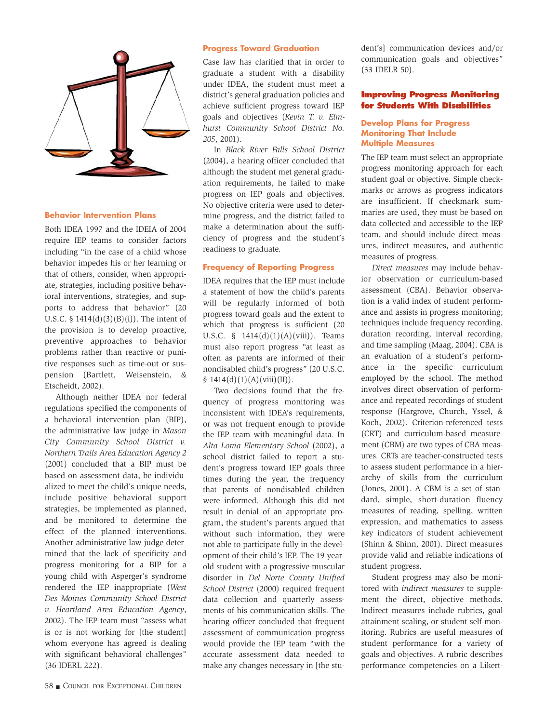

#### **Behavior Intervention Plans**

Both IDEA 1997 and the IDEIA of 2004 require IEP teams to consider factors including "in the case of a child whose behavior impedes his or her learning or that of others, consider, when appropriate, strategies, including positive behavioral interventions, strategies, and supports to address that behavior" (20 U.S.C. §  $1414(d)(3)(B)(i)$ . The intent of the provision is to develop proactive, preventive approaches to behavior problems rather than reactive or punitive responses such as time-out or suspension (Bartlett, Weisenstein, & Etscheidt, 2002).

Although neither IDEA nor federal regulations specified the components of a behavioral intervention plan (BIP), the administrative law judge in *Mason City Community School District v. Northern Trails Area Education Agency 2* (2001) concluded that a BIP must be based on assessment data, be individualized to meet the child's unique needs, include positive behavioral support strategies, be implemented as planned, and be monitored to determine the effect of the planned interventions. Another administrative law judge determined that the lack of specificity and progress monitoring for a BIP for a young child with Asperger's syndrome rendered the IEP inappropriate (*West Des Moines Community School District v. Heartland Area Education Agency*, 2002). The IEP team must "assess what is or is not working for [the student] whom everyone has agreed is dealing with significant behavioral challenges" (36 IDERL 222).

#### **Progress Toward Graduation**

Case law has clarified that in order to graduate a student with a disability under IDEA, the student must meet a district's general graduation policies and achieve sufficient progress toward IEP goals and objectives (*Kevin T. v. Elmhurst Community School District No. 205*, 2001).

In *Black River Falls School District* (2004), a hearing officer concluded that although the student met general graduation requirements, he failed to make progress on IEP goals and objectives. No objective criteria were used to determine progress, and the district failed to make a determination about the sufficiency of progress and the student's readiness to graduate.

#### **Frequency of Reporting Progress**

IDEA requires that the IEP must include a statement of how the child's parents will be regularly informed of both progress toward goals and the extent to which that progress is sufficient (20 U.S.C. § 1414(d)(1)(A)(viii)). Teams must also report progress "at least as often as parents are informed of their nondisabled child's progress" (20 U.S.C.  $§ 1414(d)(1)(A)(viii)(II)).$ 

Two decisions found that the frequency of progress monitoring was inconsistent with IDEA's requirements, or was not frequent enough to provide the IEP team with meaningful data. In *Alta Loma Elementary School* (2002), a school district failed to report a student's progress toward IEP goals three times during the year, the frequency that parents of nondisabled children were informed. Although this did not result in denial of an appropriate program, the student's parents argued that without such information, they were not able to participate fully in the development of their child's IEP. The 19-yearold student with a progressive muscular disorder in *Del Norte County Unified School District* (2000) required frequent data collection and quarterly assessments of his communication skills. The hearing officer concluded that frequent assessment of communication progress would provide the IEP team "with the accurate assessment data needed to make any changes necessary in [the student's] communication devices and/or communication goals and objectives" (33 IDELR 50).

## **Improving Progress Monitoring for Students With Disabilities**

#### **Develop Plans for Progress Monitoring That Include Multiple Measures**

The IEP team must select an appropriate progress monitoring approach for each student goal or objective. Simple checkmarks or arrows as progress indicators are insufficient. If checkmark summaries are used, they must be based on data collected and accessible to the IEP team, and should include direct measures, indirect measures, and authentic measures of progress.

*Direct measures* may include behavior observation or curriculum-based assessment (CBA). Behavior observation is a valid index of student performance and assists in progress monitoring; techniques include frequency recording, duration recording, interval recording, and time sampling (Maag, 2004). CBA is an evaluation of a student's performance in the specific curriculum employed by the school. The method involves direct observation of performance and repeated recordings of student response (Hargrove, Church, Yssel, & Koch, 2002). Criterion-referenced tests (CRT) and curriculum-based measurement (CBM) are two types of CBA measures. CRTs are teacher-constructed tests to assess student performance in a hierarchy of skills from the curriculum (Jones, 2001). A CBM is a set of standard, simple, short-duration fluency measures of reading, spelling, written expression, and mathematics to assess key indicators of student achievement (Shinn & Shinn, 2001). Direct measures provide valid and reliable indications of student progress.

Student progress may also be monitored with *indirect measures* to supplement the direct, objective methods. Indirect measures include rubrics, goal attainment scaling, or student self-monitoring. Rubrics are useful measures of student performance for a variety of goals and objectives. A rubric describes performance competencies on a Likert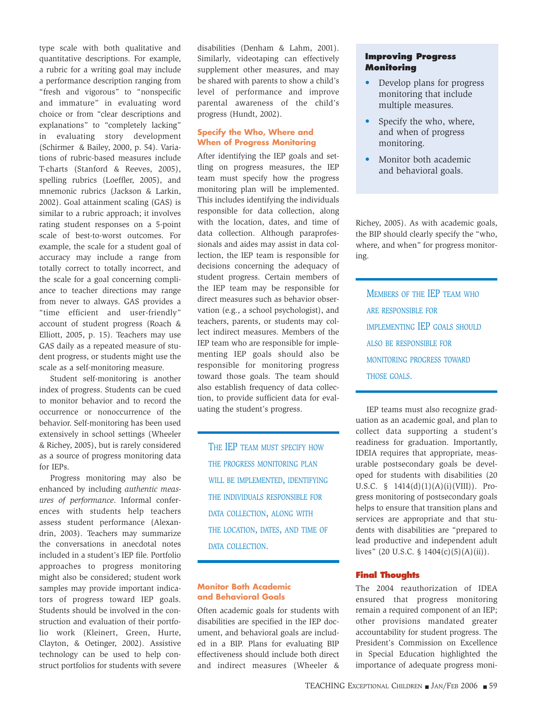type scale with both qualitative and quantitative descriptions. For example, a rubric for a writing goal may include a performance description ranging from "fresh and vigorous" to "nonspecific and immature" in evaluating word choice or from "clear descriptions and explanations" to "completely lacking" in evaluating story development (Schirmer & Bailey, 2000, p. 54). Variations of rubric-based measures include T-charts (Stanford & Reeves, 2005), spelling rubrics (Loeffler, 2005), and mnemonic rubrics (Jackson & Larkin, 2002). Goal attainment scaling (GAS) is similar to a rubric approach; it involves rating student responses on a 5-point scale of best-to-worst outcomes. For example, the scale for a student goal of accuracy may include a range from totally correct to totally incorrect, and the scale for a goal concerning compliance to teacher directions may range from never to always. GAS provides a "time efficient and user-friendly" account of student progress (Roach & Elliott, 2005, p. 15). Teachers may use GAS daily as a repeated measure of student progress, or students might use the scale as a self-monitoring measure.

Student self-monitoring is another index of progress. Students can be cued to monitor behavior and to record the occurrence or nonoccurrence of the behavior. Self-monitoring has been used extensively in school settings (Wheeler & Richey, 2005), but is rarely considered as a source of progress monitoring data for IEPs.

Progress monitoring may also be enhanced by including *authentic measures of performance*. Informal conferences with students help teachers assess student performance (Alexandrin, 2003). Teachers may summarize the conversations in anecdotal notes included in a student's IEP file. Portfolio approaches to progress monitoring might also be considered; student work samples may provide important indicators of progress toward IEP goals. Students should be involved in the construction and evaluation of their portfolio work (Kleinert, Green, Hurte, Clayton, & Oetinger, 2002). Assistive technology can be used to help construct portfolios for students with severe disabilities (Denham & Lahm, 2001). Similarly, videotaping can effectively supplement other measures, and may be shared with parents to show a child's level of performance and improve parental awareness of the child's progress (Hundt, 2002).

### **Specify the Who, Where and When of Progress Monitoring**

After identifying the IEP goals and settling on progress measures, the IEP team must specify how the progress monitoring plan will be implemented. This includes identifying the individuals responsible for data collection, along with the location, dates, and time of data collection. Although paraprofessionals and aides may assist in data collection, the IEP team is responsible for decisions concerning the adequacy of student progress. Certain members of the IEP team may be responsible for direct measures such as behavior observation (e.g., a school psychologist), and teachers, parents, or students may collect indirect measures. Members of the IEP team who are responsible for implementing IEP goals should also be responsible for monitoring progress toward those goals. The team should also establish frequency of data collection, to provide sufficient data for evaluating the student's progress.

THE IEP TEAM MUST SPECIFY HOW THE PROGRESS MONITORING PLAN WILL BE IMPLEMENTED, IDENTIFYING THE INDIVIDUALS RESPONSIBLE FOR DATA COLLECTION, ALONG WITH THE LOCATION, DATES, AND TIME OF DATA COLLECTION.

## **Monitor Both Academic and Behavioral Goals**

Often academic goals for students with disabilities are specified in the IEP document, and behavioral goals are included in a BIP. Plans for evaluating BIP effectiveness should include both direct and indirect measures (Wheeler &

## **Improving Progress Monitoring**

- Develop plans for progress monitoring that include multiple measures.
- Specify the who, where, and when of progress monitoring.
- Monitor both academic and behavioral goals.

Richey, 2005). As with academic goals, the BIP should clearly specify the "who, where, and when" for progress monitoring.

MEMBERS OF THE IEP TEAM WHO ARE RESPONSIBLE FOR IMPLEMENTING IEP GOALS SHOULD ALSO BE RESPONSIBLE FOR MONITORING PROGRESS TOWARD THOSE GOALS.

IEP teams must also recognize graduation as an academic goal, and plan to collect data supporting a student's readiness for graduation. Importantly, IDEIA requires that appropriate, measurable postsecondary goals be developed for students with disabilities (20 U.S.C. § 1414(d)(1)(A)(i)(VIII)). Progress monitoring of postsecondary goals helps to ensure that transition plans and services are appropriate and that students with disabilities are "prepared to lead productive and independent adult lives" (20 U.S.C. § 1404(c)(5)(A)(ii)).

## **Final Thoughts**

The 2004 reauthorization of IDEA ensured that progress monitoring remain a required component of an IEP; other provisions mandated greater accountability for student progress. The President's Commission on Excellence in Special Education highlighted the importance of adequate progress moni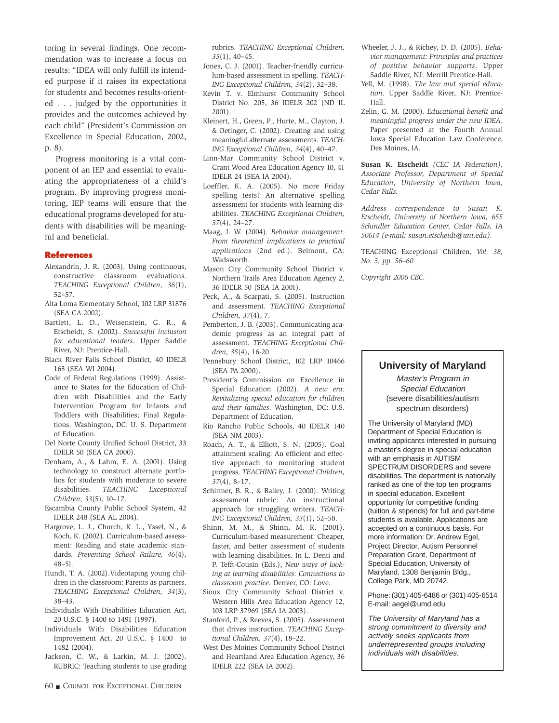toring in several findings. One recommendation was to increase a focus on results: "IDEA will only fulfill its intended purpose if it raises its expectations for students and becomes results-oriented . . . judged by the opportunities it provides and the outcomes achieved by each child" (President's Commission on Excellence in Special Education, 2002, p. 8).

Progress monitoring is a vital component of an IEP and essential to evaluating the appropriateness of a child's program. By improving progress monitoring, IEP teams will ensure that the educational programs developed for students with disabilities will be meaningful and beneficial.

#### **References**

- Alexandrin, J. R. (2003). Using continuous, constructive classroom evaluations. *TEACHING Exceptional Children, 36*(1), 52–57.
- Alta Loma Elementary School, 102 LRP 31876 (SEA CA 2002).
- Bartlett, L. D., Weisenstein, G. R., & Etscheidt, S. (2002). *Successful inclusion for educational leaders*. Upper Saddle River, NJ: Prentice-Hall.
- Black River Falls School District, 40 IDELR 163 (SEA WI 2004).
- Code of Federal Regulations (1999). Assistance to States for the Education of Children with Disabilities and the Early Intervention Program for Infants and Toddlers with Disabilities; Final Regulations. Washington, DC: U. S. Department of Education.
- Del Norte County Unified School District, 33 IDELR 50 (SEA CA 2000).
- Denham, A., & Lahm, E. A. (2001). Using technology to construct alternate portfolios for students with moderate to severe disabilities. *TEACHING Exceptional Children, 33*(5), 10–17.
- Escambia County Public School System, 42 IDELR 248 (SEA AL 2004).
- Hargrove, L. J., Church, K. L., Yssel, N., & Koch, K. (2002). Curriculum-based assessment: Reading and state academic standards. *Preventing School Failure, 46*(4), 48–51.
- Hundt, T. A. (2002).Videotaping young children in the classroom: Parents as partners. *TEACHING Exceptional Children, 34*(3), 38–43.
- Individuals With Disabilities Education Act, 20 U.S.C. § 1400 to 1491 (1997).
- Individuals With Disabilities Education Improvement Act, 20 U.S.C. § 1400 to 1482 (2004).
- Jackson, C. W., & Larkin, M. J. (2002). RUBRIC: Teaching students to use grading

rubrics. *TEACHING Exceptional Children, 35*(1), 40–45.

- Jones, C. J. (2001). Teacher-friendly curriculum-based assessment in spelling. *TEACH-ING Exceptional Children, 34*(2), 32–38.
- Kevin T. v. Elmhurst Community School District No. 205, 36 IDELR 202 (ND IL 2001).
- Kleinert, H., Green, P., Hurte, M., Clayton, J. & Oetinger, C. (2002). Creating and using meaningful alternate assessments. *TEACH-ING Exceptional Children, 34*(4), 40–47.
- Linn-Mar Community School District v. Grant Wood Area Education Agency 10, 41 IDELR 24 (SEA IA 2004).
- Loeffler, K. A. (2005). No more Friday spelling tests? An alternative spelling assessment for students with learning disabilities. *TEACHING Exceptional Children, 37*(4), 24–27.
- Maag, J. W. (2004). *Behavior management: From theoretical implications to practical applications* (2nd ed.). Belmont, CA: Wadsworth.
- Mason City Community School District v. Northern Trails Area Education Agency 2, 36 IDELR 50 (SEA IA 2001).
- Peck, A., & Scarpati, S. (2005). Instruction and assessment. *TEACHING Exceptional Children, 37*(4), 7.
- Pemberton, J. B. (2003). Communicating academic progress as an integral part of assessment. *TEACHING Exceptional Children, 35*(4), 16-20.
- Pennsbury School District, 102 LRP 10466 (SEA PA 2000).
- President's Commission on Excellence in Special Education (2002). *A new era: Revitalizing special education for children and their families*. Washington, DC: U.S. Department of Education.
- Rio Rancho Public Schools, 40 IDELR 140 (SEA NM 2003).
- Roach, A. T., & Elliott, S. N. (2005). Goal attainment scaling: An efficient and effective approach to monitoring student progress. *TEACHING Exceptional Children, 37*(4), 8–17.
- Schirmer, B. R., & Bailey, J. (2000). Writing assessment rubric: An instructional approach for struggling writers. *TEACH-ING Exceptional Children, 33*(1), 52–58.
- Shinn, M. M., & Shinn, M. R. (2001). Curriculum-based measurement: Cheaper, faster, and better assessment of students with learning disabilities. In L. Denti and P. Tefft-Cousin (Eds.), *New ways of looking at learning disabilities: Connections to classroom practice*. Denver, CO: Love.
- Sioux City Community School District v. Western Hills Area Education Agency 12, 103 LRP 37969 (SEA IA 2003).
- Stanford, P., & Reeves, S. (2005). Assessment that drives instruction. *TEACHING Exceptional Children, 37*(4), 18–22.
- West Des Moines Community School District and Heartland Area Education Agency, 36 IDELR 222 (SEA IA 2002).
- Wheeler, J. J., & Richey, D. D. (2005). *Behavior management: Principles and practices of positive behavior supports*. Upper Saddle River, NJ: Merrill Prentice-Hall.
- Yell, M. (1998). *The law and special education*. Upper Saddle River, NJ: Prentice-Hall.
- Zelin, G. M. (2000). *Educational benefit and meaningful progress under the new IDEA*. Paper presented at the Fourth Annual Iowa Special Education Law Conference, Des Moines, IA.

**Susan K. Etscheidt** *(CEC IA Federation), Associate Professor, Department of Special Education, University of Northern Iowa, Cedar Falls.*

*Address correspondence to Susan K. Etscheidt, University of Northern Iowa, 655 Schindler Education Center, Cedar Falls, IA 50614 (e-mail: susan.etscheidt@uni.edu).*

TEACHING Exceptional Children, *Vol. 38, No. 3, pp. 56–60*

*Copyright 2006 CEC.*

### **University of Maryland**

Master's Program in Special Education (severe disabilities/autism spectrum disorders)

The University of Maryland (MD) Department of Special Education is inviting applicants interested in pursuing a master's degree in special education with an emphasis in AUTISM SPECTRUM DISORDERS and severe disabilities. The department is nationally ranked as one of the top ten programs in special education. Excellent opportunity for competitive funding (tuition & stipends) for full and part-time students is available. Applications are accepted on a continuous basis. For more information: Dr. Andrew Egel, Project Director, Autism Personnel Preparation Grant, Department of Special Education, University of Maryland, 1308 Benjamin Bldg., College Park, MD 20742.

Phone: (301) 405-6486 or (301) 405-6514 E-mail: aegel@umd.edu

The University of Maryland has a strong commitment to diversity and actively seeks applicants from underrepresented groups including individuals with disabilities.